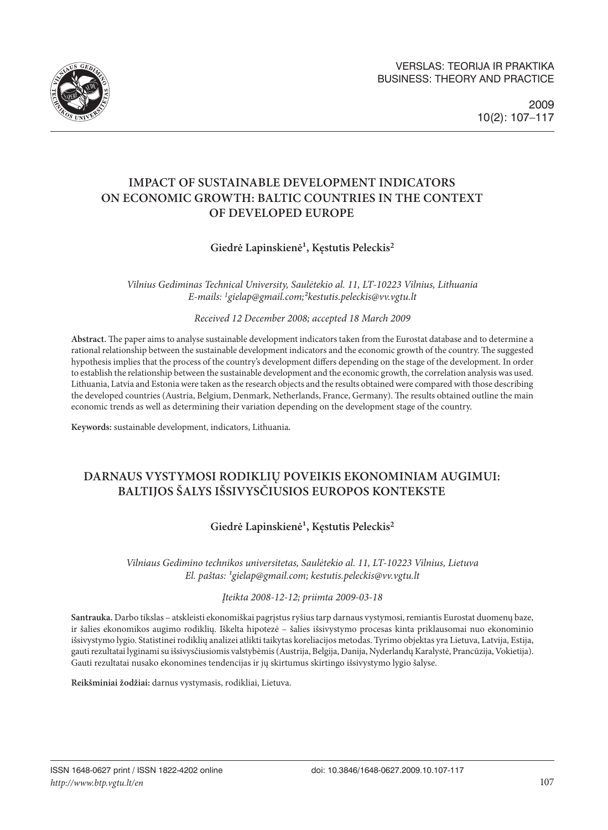

# **IMPACT OF SUSTAINABLE DEVELOPMENT INDICATORS ON ECONOMIC GROWTH: BALTIC COUNTRIES IN THE CONTEXT OF DEVELOPED EUROPE**

## Giedrė Lapinskienė<sup>1</sup>, Kestutis Peleckis<sup>2</sup>

*Vilnius Gediminas Technical University, Saulėtekio al. 11, LT-10223 Vilnius, Lithuania E-mails: 1gielap@gmail.com;²kestutis.peleckis@vv.vgtu.lt*

*Received 12 December 2008; accepted 18 March 2009*

**Abstract.** The paper aims to analyse sustainable development indicators taken from the Eurostat database and to determine a rational relationship between the sustainable development indicators and the economic growth of the country. The suggested hypothesis implies that the process of the country's development differs depending on the stage of the development. In order to establish the relationship between the sustainable development and the economic growth, the correlation analysis was used. Lithuania, Latvia and Estonia were taken as the research objects and the results obtained were compared with those describing the developed countries (Austria, Belgium, Denmark, Netherlands, France, Germany). The results obtained outline the main economic trends as well as determining their variation depending on the development stage of the country.

**Keywords:** sustainable development, indicators, Lithuania.

# **DARNAUS VYSTYMOSI RODIKLIŲ POVEIKIS EKONOMINIAM AUGIMUI: BALTIJOS ŠALYS IŠSIVYSČIUSIOS EUROPOS KONTEKSTE**

## Giedrė Lapinskienė<sup>1</sup>, Kęstutis Peleckis<sup>2</sup>

*Vilniaus Gedimino technikos universitetas, Saulėtekio al. 11, LT-10223 Vilnius, Lietuva El. paštas: ¹gielap@gmail.com; kestutis.peleckis@vv.vgtu.lt*

*Įteikta 2008-12-12; priimta 2009-03-18*

**Santrauka.** Darbo tikslas – atskleisti ekonomiškai pagrįstus ryšius tarp darnaus vystymosi, remiantis Eurostat duomenų baze, ir šalies ekonomikos augimo rodiklių. Iškelta hipotezė – šalies išsivystymo procesas kinta priklausomai nuo ekonominio išsivystymo lygio. Statistinei rodiklių analizei atlikti taikytas koreliacijos metodas. Tyrimo objektas yra Lietuva, Latvija, Estija, gauti rezultatai lyginami su išsivysčiusiomis valstybėmis (Austrija, Belgija, Danija, Nyderlandų Karalystė, Prancūzija, Vokietija). Gauti rezultatai nusako ekonomines tendencijas ir jų skirtumus skirtingo išsivystymo lygio šalyse.

**Reikšminiai žodžiai:** darnus vystymasis, rodikliai, Lietuva.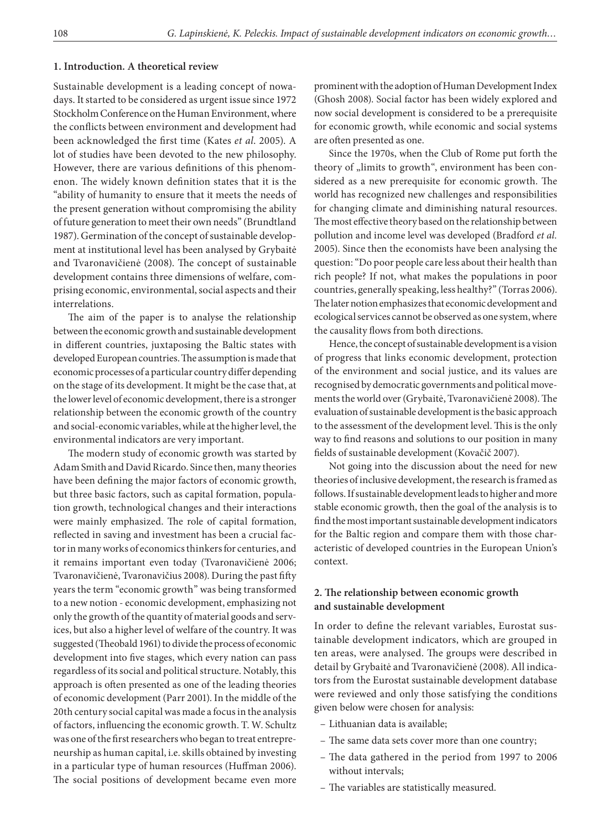#### **1. Introduction. A theoretical review**

Sustainable development is a leading concept of nowadays. It started to be considered as urgent issue since 1972 Stockholm Conference on the Human Environment, where the conflicts between environment and development had been acknowledged the first time (Kates *et al*. 2005). A lot of studies have been devoted to the new philosophy. However, there are various definitions of this phenomenon. The widely known definition states that it is the "ability of humanity to ensure that it meets the needs of the present generation without compromising the ability of future generation to meet their own needs" (Brundtland 1987). Germination of the concept of sustainable development at institutional level has been analysed by Grybaitė and Tvaronavičienė (2008). The concept of sustainable development contains three dimensions of welfare, comprising economic, environmental, social aspects and their interrelations.

The aim of the paper is to analyse the relationship between the economic growth and sustainable development in different countries, juxtaposing the Baltic states with developed European countries. The assumption is made that economic processes of a particular country differ depending on the stage of its development. It might be the case that, at the lower level of economic development, there is a stronger relationship between the economic growth of the country and social-economic variables, while at the higher level, the environmental indicators are very important.

The modern study of economic growth was started by Adam Smith and David Ricardo. Since then, many theories have been defining the major factors of economic growth, but three basic factors, such as capital formation, population growth, technological changes and their interactions were mainly emphasized. The role of capital formation, reflected in saving and investment has been a crucial factor in many works of economics thinkers for centuries, and it remains important even today (Tvaronavičienė 2006; Tvaronavičienė, Tvaronavičius 2008). During the past fifty years the term "economic growth" was being transformed to a new notion - economic development, emphasizing not only the growth of the quantity of material goods and services, but also a higher level of welfare of the country. It was suggested (Theobald 1961) to divide the process of economic development into five stages, which every nation can pass regardless of its social and political structure. Notably, this approach is often presented as one of the leading theories of economic development (Parr 2001). In the middle of the 20th century social capital was made a focus in the analysis of factors, influencing the economic growth. T. W. Schultz was one of the first researchers who began to treat entrepreneurship as human capital, i.e. skills obtained by investing in a particular type of human resources (Huffman 2006). The social positions of development became even more

prominent with the adoption of Human Development Index (Ghosh 2008). Social factor has been widely explored and now social development is considered to be a prerequisite for economic growth, while economic and social systems are often presented as one.

Since the 1970s, when the Club of Rome put forth the theory of "limits to growth", environment has been considered as a new prerequisite for economic growth. The world has recognized new challenges and responsibilities for changing climate and diminishing natural resources. The most effective theory based on the relationship between pollution and income level was developed (Bradford *et al.*  2005). Since then the economists have been analysing the question: "Do poor people care less about their health than rich people? If not, what makes the populations in poor countries, generally speaking, less healthy?" (Torras 2006). The later notion emphasizes that economic development and ecological services cannot be observed as one system, where the causality flows from both directions.

Hence, the concept of sustainable development is a vision of progress that links economic development, protection of the environment and social justice, and its values are recognised by democratic governments and political movements the world over (Grybaitė, Tvaronavičienė 2008). The evaluation of sustainable development is the basic approach to the assessment of the development level. This is the only way to find reasons and solutions to our position in many fields of sustainable development (Kovačič 2007).

Not going into the discussion about the need for new theories of inclusive development, the research is framed as follows. If sustainable development leads to higher and more stable economic growth, then the goal of the analysis is to find the most important sustainable development indicators for the Baltic region and compare them with those characteristic of developed countries in the European Union's context.

### **2. The relationship between economic growth and sustainable development**

In order to define the relevant variables, Eurostat sustainable development indicators, which are grouped in ten areas, were analysed. The groups were described in detail by Grybaitė and Tvaronavičienė (2008). All indicators from the Eurostat sustainable development database were reviewed and only those satisfying the conditions given below were chosen for analysis:

- Lithuanian data is available;
- The same data sets cover more than one country;
- The data gathered in the period from 1997 to 2006 without intervals;
- The variables are statistically measured.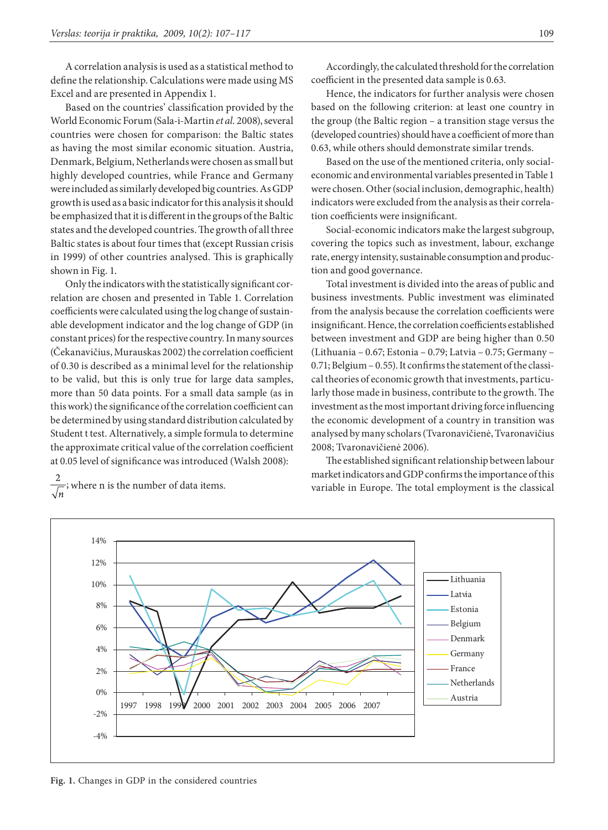A correlation analysis is used as a statistical method to define the relationship. Calculations were made using MS Excel and are presented in Appendix 1.

Based on the countries' classification provided by the World Economic Forum (Sala-i-Martin *et al.* 2008), several countries were chosen for comparison: the Baltic states as having the most similar economic situation. Austria, Denmark, Belgium, Netherlands were chosen as small but highly developed countries, while France and Germany were included as similarly developed big countries. As GDP growth is used as a basic indicator for this analysis it should be emphasized that it is different in the groups of the Baltic states and the developed countries. The growth of all three Baltic states is about four times that (except Russian crisis in 1999) of other countries analysed. This is graphically shown in Fig. 1.

Only the indicators with the statistically significant correlation are chosen and presented in Table 1. Correlation coefficients were calculated using the log change of sustainable development indicator and the log change of GDP (in constant prices) for the respective country. In many sources (Čekanavičius, Murauskas 2002) the correlation coefficient of 0.30 is described as a minimal level for the relationship to be valid, but this is only true for large data samples, more than 50 data points. For a small data sample (as in this work) the significance of the correlation coefficient can be determined by using standard distribution calculated by Student t test. Alternatively, a simple formula to determine the approximate critical value of the correlation coefficient at 0.05 level of significance was introduced (Walsh 2008):

 $\frac{2}{\sqrt{n}}$ ; where n is the number of data items.

Accordingly, the calculated threshold for the correlation coefficient in the presented data sample is 0.63.

Hence, the indicators for further analysis were chosen based on the following criterion: at least one country in the group (the Baltic region – a transition stage versus the (developed countries) should have a coefficient of more than 0.63, while others should demonstrate similar trends.

Based on the use of the mentioned criteria, only socialeconomic and environmental variables presented in Table 1 were chosen. Other (social inclusion, demographic, health) indicators were excluded from the analysis as their correlation coefficients were insignificant.

Social-economic indicators make the largest subgroup, covering the topics such as investment, labour, exchange rate, energy intensity, sustainable consumption and production and good governance.

Total investment is divided into the areas of public and business investments. Public investment was eliminated from the analysis because the correlation coefficients were insignificant. Hence, the correlation coefficients established between investment and GDP are being higher than 0.50 (Lithuania – 0.67; Estonia – 0.79; Latvia – 0.75; Germany – 0.71; Belgium – 0.55). It confirms the statement of the classical theories of economic growth that investments, particularly those made in business, contribute to the growth. The investment as the most important driving force influencing the economic development of a country in transition was analysed by many scholars (Tvaronavičienė, Tvaronavičius 2008; Tvaronavičienė 2006).

The established significant relationship between labour market indicators and GDP confirms the importance of this variable in Europe. The total employment is the classical



**Fig. 1.** Changes in GDP in the considered countries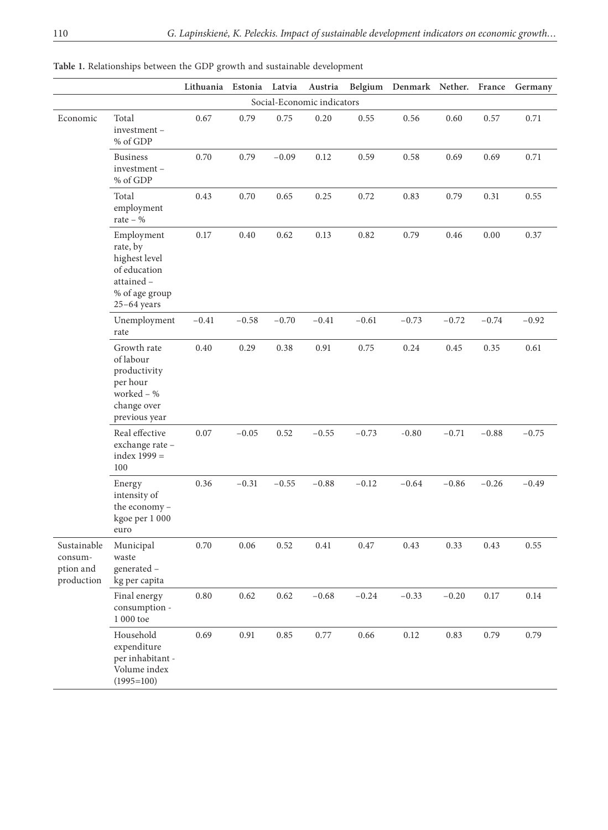|  | Table 1. Relationships between the GDP growth and sustainable development |  |  |  |  |  |  |
|--|---------------------------------------------------------------------------|--|--|--|--|--|--|
|--|---------------------------------------------------------------------------|--|--|--|--|--|--|

|                                                   |                                                                                                          | Lithuania | Estonia  | Latvia   | Austria                    |          | Belgium Denmark Nether. France |         |          | Germany  |
|---------------------------------------------------|----------------------------------------------------------------------------------------------------------|-----------|----------|----------|----------------------------|----------|--------------------------------|---------|----------|----------|
|                                                   |                                                                                                          |           |          |          | Social-Economic indicators |          |                                |         |          |          |
| Economic                                          | Total<br>investment-<br>% of GDP                                                                         | 0.67      | 0.79     | 0.75     | 0.20                       | 0.55     | 0.56                           | 0.60    | 0.57     | 0.71     |
|                                                   | <b>Business</b><br>investment-<br>% of GDP                                                               | 0.70      | 0.79     | $-0.09$  | 0.12                       | 0.59     | 0.58                           | 0.69    | 0.69     | 0.71     |
|                                                   | Total<br>employment<br>rate – $\%$                                                                       | 0.43      | 0.70     | 0.65     | 0.25                       | 0.72     | 0.83                           | 0.79    | 0.31     | 0.55     |
|                                                   | Employment<br>rate, by<br>highest level<br>of education<br>attained -<br>% of age group<br>$25-64$ years | $0.17\,$  | $0.40\,$ | 0.62     | 0.13                       | 0.82     | 0.79                           | 0.46    | 0.00     | 0.37     |
|                                                   | Unemployment<br>rate                                                                                     | $-0.41$   | $-0.58$  | $-0.70$  | $-0.41$                    | $-0.61$  | $-0.73$                        | $-0.72$ | $-0.74$  | $-0.92$  |
|                                                   | Growth rate<br>of labour<br>productivity<br>per hour<br>worked - %<br>change over<br>previous year       | $0.40\,$  | 0.29     | 0.38     | 0.91                       | 0.75     | 0.24                           | 0.45    | 0.35     | 0.61     |
|                                                   | Real effective<br>exchange rate -<br>index $1999 =$<br>100                                               | $0.07\,$  | $-0.05$  | 0.52     | $-0.55$                    | $-0.73$  | $-0.80$                        | $-0.71$ | $-0.88$  | $-0.75$  |
|                                                   | Energy<br>intensity of<br>the economy -<br>kgoe per 1 000<br>euro                                        | 0.36      | $-0.31$  | $-0.55$  | $-0.88$                    | $-0.12$  | $-0.64$                        | $-0.86$ | $-0.26$  | $-0.49$  |
| Sustainable<br>consum-<br>ption and<br>production | Municipal<br>waste<br>generated -<br>kg per capita                                                       | $0.70\,$  | $0.06\,$ | $0.52\,$ | $0.41\,$                   | $0.47\,$ | $0.43\,$                       | 0.33    | $0.43\,$ | 0.55     |
|                                                   | Final energy<br>consumption -<br>$1\ 000$ toe                                                            | $0.80\,$  | 0.62     | 0.62     | $-0.68$                    | $-0.24$  | $-0.33$                        | $-0.20$ | $0.17\,$ | $0.14\,$ |
|                                                   | Household<br>expenditure<br>per inhabitant -<br>Volume index<br>$(1995=100)$                             | 0.69      | 0.91     | $0.85\,$ | 0.77                       | 0.66     | 0.12                           | 0.83    | 0.79     | 0.79     |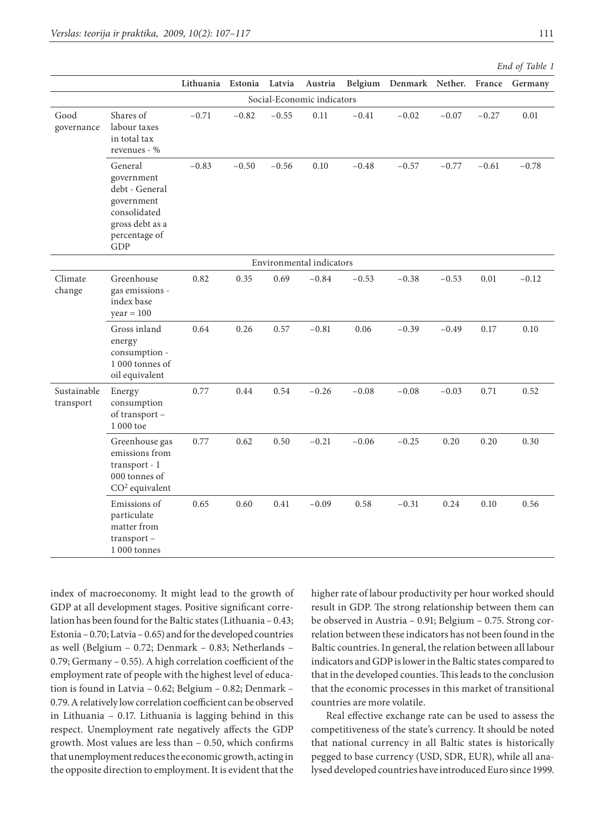|                          |                                                                                                                  | Lithuania Estonia |         | Latvia  | Austria                    |         | Belgium Denmark Nether. France |         |          | Germany  |
|--------------------------|------------------------------------------------------------------------------------------------------------------|-------------------|---------|---------|----------------------------|---------|--------------------------------|---------|----------|----------|
|                          |                                                                                                                  |                   |         |         | Social-Economic indicators |         |                                |         |          |          |
| Good<br>governance       | Shares of<br>labour taxes<br>in total tax<br>revenues - %                                                        | $-0.71$           | $-0.82$ | $-0.55$ | 0.11                       | $-0.41$ | $-0.02$                        | $-0.07$ | $-0.27$  | $0.01\,$ |
|                          | General<br>government<br>debt - General<br>government<br>consolidated<br>gross debt as a<br>percentage of<br>GDP | $-0.83$           | $-0.50$ | $-0.56$ | 0.10                       | $-0.48$ | $-0.57$                        | $-0.77$ | $-0.61$  | $-0.78$  |
|                          |                                                                                                                  |                   |         |         | Environmental indicators   |         |                                |         |          |          |
| Climate<br>change        | Greenhouse<br>gas emissions -<br>index base<br>$year = 100$                                                      | 0.82              | 0.35    | 0.69    | $-0.84$                    | $-0.53$ | $-0.38$                        | $-0.53$ | $0.01\,$ | $-0.12$  |
|                          | Gross inland<br>energy<br>consumption -<br>1 000 tonnes of<br>oil equivalent                                     | 0.64              | 0.26    | 0.57    | $-0.81$                    | 0.06    | $-0.39$                        | $-0.49$ | 0.17     | 0.10     |
| Sustainable<br>transport | Energy<br>consumption<br>of transport -<br>1 000 toe                                                             | 0.77              | 0.44    | 0.54    | $-0.26$                    | $-0.08$ | $-0.08$                        | $-0.03$ | 0.71     | 0.52     |
|                          | Greenhouse gas<br>emissions from<br>transport - 1<br>000 tonnes of<br>CO <sup>2</sup> equivalent                 | 0.77              | 0.62    | 0.50    | $-0.21$                    | $-0.06$ | $-0.25$                        | 0.20    | 0.20     | 0.30     |
|                          | Emissions of<br>particulate<br>matter from<br>transport-<br>1 000 tonnes                                         | 0.65              | 0.60    | 0.41    | $-0.09$                    | 0.58    | $-0.31$                        | 0.24    | 0.10     | 0.56     |

*End of Table 1* 

index of macroeconomy. It might lead to the growth of GDP at all development stages. Positive significant correlation has been found for the Baltic states (Lithuania – 0.43; Estonia – 0.70; Latvia– 0.65) and for the developed countries as well (Belgium – 0.72; Denmark – 0.83; Netherlands – 0.79; Germany – 0.55). A high correlation coefficient of the employment rate of people with the highest level of education is found in Latvia – 0.62; Belgium – 0.82; Denmark – 0.79. A relatively low correlation coefficient can be observed in Lithuania – 0.17. Lithuania is lagging behind in this respect. Unemployment rate negatively affects the GDP growth. Most values are less than – 0.50, which confirms that unemployment reduces the economic growth, acting in the opposite direction to employment. It is evident that the

higher rate of labour productivity per hour worked should result in GDP. The strong relationship between them can be observed in Austria – 0.91; Belgium – 0.75. Strong correlation between these indicators has not been found in the Baltic countries. In general, the relation between all labour indicators and GDP is lower in the Baltic states compared to that in the developed counties. This leads to the conclusion that the economic processes in this market of transitional countries are more volatile.

Real effective exchange rate can be used to assess the competitiveness of the state's currency. It should be noted that national currency in all Baltic states is historically pegged to base currency (USD, SDR, EUR), while all analysed developed countries have introduced Euro since 1999.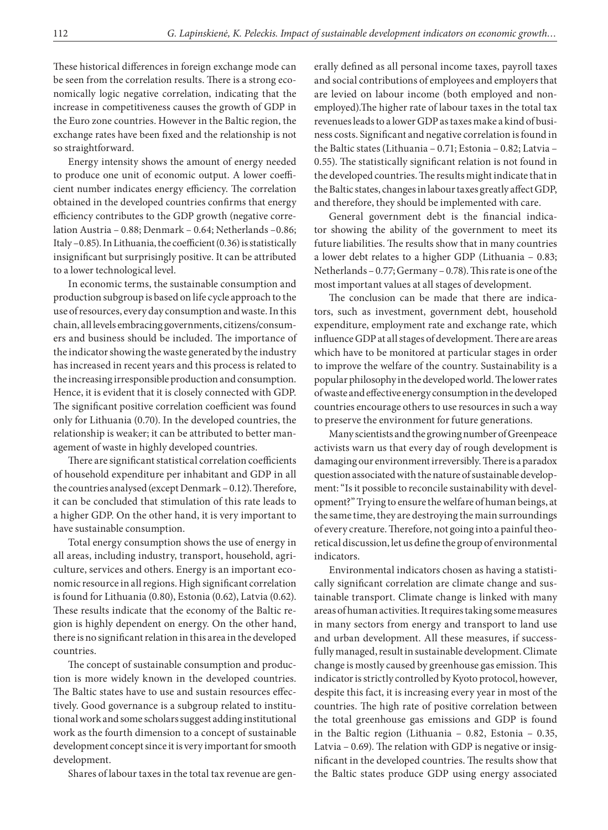These historical differences in foreign exchange mode can be seen from the correlation results. There is a strong economically logic negative correlation, indicating that the increase in competitiveness causes the growth of GDP in the Euro zone countries. However in the Baltic region, the exchange rates have been fixed and the relationship is not so straightforward.

Energy intensity shows the amount of energy needed to produce one unit of economic output. A lower coefficient number indicates energy efficiency. The correlation obtained in the developed countries confirms that energy efficiency contributes to the GDP growth (negative correlation Austria – 0.88; Denmark – 0.64; Netherlands –0.86; Italy –0.85). In Lithuania, the coefficient (0.36) is statistically insignificant but surprisingly positive. It can be attributed to a lower technological level.

In economic terms, the sustainable consumption and production subgroup is based on life cycle approach to the use of resources, every day consumption and waste. In this chain, all levels embracing governments, citizens/consumers and business should be included. The importance of the indicator showing the waste generated by the industry has increased in recent years and this process is related to the increasing irresponsible production and consumption. Hence, it is evident that it is closely connected with GDP. The significant positive correlation coefficient was found only for Lithuania (0.70). In the developed countries, the relationship is weaker; it can be attributed to better management of waste in highly developed countries.

There are significant statistical correlation coefficients of household expenditure per inhabitant and GDP in all the countries analysed (except Denmark – 0.12). Therefore, it can be concluded that stimulation of this rate leads to a higher GDP. On the other hand, it is very important to have sustainable consumption.

Total energy consumption shows the use of energy in all areas, including industry, transport, household, agriculture, services and others. Energy is an important economic resource in all regions. High significant correlation is found for Lithuania (0.80), Estonia (0.62), Latvia (0.62). These results indicate that the economy of the Baltic region is highly dependent on energy. On the other hand, there is no significant relation in this area in the developed countries.

The concept of sustainable consumption and production is more widely known in the developed countries. The Baltic states have to use and sustain resources effectively. Good governance is a subgroup related to institutional work and some scholars suggest adding institutional work as the fourth dimension to a concept of sustainable development concept since it is very important for smooth development.

Shares of labour taxes in the total tax revenue are gen-

erally defined as all personal income taxes, payroll taxes and social contributions of employees and employers that are levied on labour income (both employed and nonemployed).The higher rate of labour taxes in the total tax revenues leads to a lower GDP as taxes make a kind of business costs. Significant and negative correlation is found in the Baltic states (Lithuania – 0.71; Estonia – 0.82; Latvia – 0.55). The statistically significant relation is not found in the developed countries. The results might indicate that in the Baltic states, changes in labour taxes greatly affect GDP, and therefore, they should be implemented with care.

General government debt is the financial indicator showing the ability of the government to meet its future liabilities. The results show that in many countries a lower debt relates to a higher GDP (Lithuania – 0.83; Netherlands – 0.77; Germany – 0.78). This rate is one of the most important values at all stages of development.

The conclusion can be made that there are indicators, such as investment, government debt, household expenditure, employment rate and exchange rate, which influence GDP at all stages of development. There are areas which have to be monitored at particular stages in order to improve the welfare of the country. Sustainability is a popular philosophy in the developed world. The lower rates of waste and effective energy consumption in the developed countries encourage others to use resources in such a way to preserve the environment for future generations.

Many scientists and the growing number of Greenpeace activists warn us that every day of rough development is damaging our environment irreversibly. There is a paradox question associated with the nature of sustainable development: "Is it possible to reconcile sustainability with development?" Trying to ensure the welfare of human beings, at the same time, they are destroying the main surroundings of every creature. Therefore, not going into a painful theoretical discussion, let us define the group of environmental indicators.

Environmental indicators chosen as having a statistically significant correlation are climate change and sustainable transport. Climate change is linked with many areas of human activities. It requires taking some measures in many sectors from energy and transport to land use and urban development. All these measures, if successfully managed, result in sustainable development. Climate change is mostly caused by greenhouse gas emission. This indicator is strictly controlled by Kyoto protocol, however, despite this fact, it is increasing every year in most of the countries. The high rate of positive correlation between the total greenhouse gas emissions and GDP is found in the Baltic region (Lithuania – 0.82, Estonia – 0.35, Latvia – 0.69). The relation with GDP is negative or insignificant in the developed countries. The results show that the Baltic states produce GDP using energy associated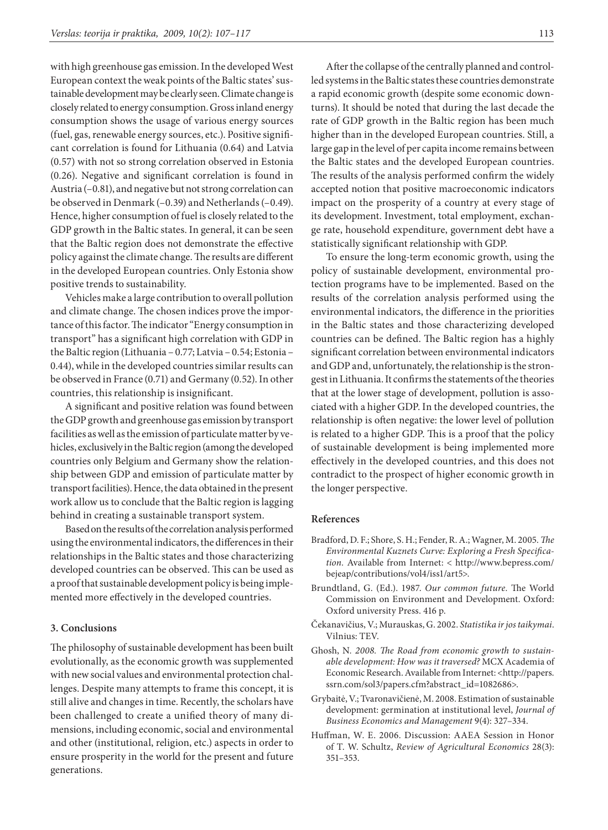with high greenhouse gas emission. In the developed West European context the weak points of the Baltic states' sustainable development may be clearly seen. Climate change is closely related to energy consumption. Gross inland energy consumption shows the usage of various energy sources (fuel, gas, renewable energy sources, etc.). Positive significant correlation is found for Lithuania (0.64) and Latvia (0.57) with not so strong correlation observed in Estonia (0.26). Negative and significant correlation is found in Austria (–0.81), and negative but not strong correlation can be observed in Denmark (–0.39) and Netherlands (–0.49). Hence, higher consumption of fuel is closely related to the GDP growth in the Baltic states. In general, it can be seen that the Baltic region does not demonstrate the effective policy against the climate change. The results are different in the developed European countries. Only Estonia show positive trends to sustainability.

Vehicles make a large contribution to overall pollution and climate change. The chosen indices prove the importance of this factor. The indicator "Energy consumption in transport" has a significant high correlation with GDP in the Baltic region (Lithuania – 0.77; Latvia – 0.54; Estonia – 0.44), while in the developed countries similar results can be observed in France (0.71) and Germany (0.52). In other countries, this relationship is insignificant.

A significant and positive relation was found between the GDP growth and greenhouse gas emission by transport facilities as well as the emission of particulate matter by vehicles, exclusively in the Baltic region (among the developed countries only Belgium and Germany show the relationship between GDP and emission of particulate matter by transport facilities). Hence, the data obtained in the present work allow us to conclude that the Baltic region is lagging behind in creating a sustainable transport system.

Based on the results of the correlation analysis performed using the environmental indicators, the differences in their relationships in the Baltic states and those characterizing developed countries can be observed. This can be used as a proof that sustainable development policy is being implemented more effectively in the developed countries.

#### **3. Conclusions**

The philosophy of sustainable development has been built evolutionally, as the economic growth was supplemented with new social values and environmental protection challenges. Despite many attempts to frame this concept, it is still alive and changes in time. Recently, the scholars have been challenged to create a unified theory of many dimensions, including economic, social and environmental and other (institutional, religion, etc.) aspects in order to ensure prosperity in the world for the present and future generations.

After the collapse of the centrally planned and controlled systems in the Baltic states these countries demonstrate a rapid economic growth (despite some economic downturns). It should be noted that during the last decade the rate of GDP growth in the Baltic region has been much higher than in the developed European countries. Still, a large gap in the level of per capita income remains between the Baltic states and the developed European countries. The results of the analysis performed confirm the widely accepted notion that positive macroeconomic indicators impact on the prosperity of a country at every stage of its development. Investment, total employment, exchange rate, household expenditure, government debt have a statistically significant relationship with GDP.

To ensure the long-term economic growth, using the policy of sustainable development, environmental protection programs have to be implemented. Based on the results of the correlation analysis performed using the environmental indicators, the difference in the priorities in the Baltic states and those characterizing developed countries can be defined. The Baltic region has a highly significant correlation between environmental indicators and GDP and, unfortunately, the relationship is the strongest in Lithuania. It confirms the statements of the theories that at the lower stage of development, pollution is associated with a higher GDP. In the developed countries, the relationship is often negative: the lower level of pollution is related to a higher GDP. This is a proof that the policy of sustainable development is being implemented more effectively in the developed countries, and this does not contradict to the prospect of higher economic growth in the longer perspective.

#### **References**

- Bradford, D. F.; Shore, S. H.; Fender, R. A.; Wagner, M. 2005. *The Environmental Kuznets Curve: Exploring a Fresh Specification.* Available from Internet: < http://www.bepress.com/ bejeap/contributions/vol4/iss1/art5>.
- Brundtland, G. (Ed.). 1987. *Our common future.* The World Commission on Environment and Development. Oxford: Oxford university Press. 416 p.
- Čekanavičius, V.; Murauskas, G. 2002. *Statistika ir jos taikymai*. Vilnius: TEV.
- Ghosh, N*. 2008. The Road from economic growth to sustainable development: How was it traversed?* MCX Academia of Economic Research. Available from Internet: <http://papers. ssrn.com/sol3/papers.cfm?abstract\_id=1082686>.
- Grybaitė, V.; Tvaronavičienė, M. 2008. Estimation of sustainable development: germination at institutional level, *Journal of Business Economics and Management* 9(4): 327–334.
- Huffman, W. E. 2006. Discussion: AAEA Session in Honor of T. W. Schultz, *Review of Agricultural Economics* 28(3): 351–353.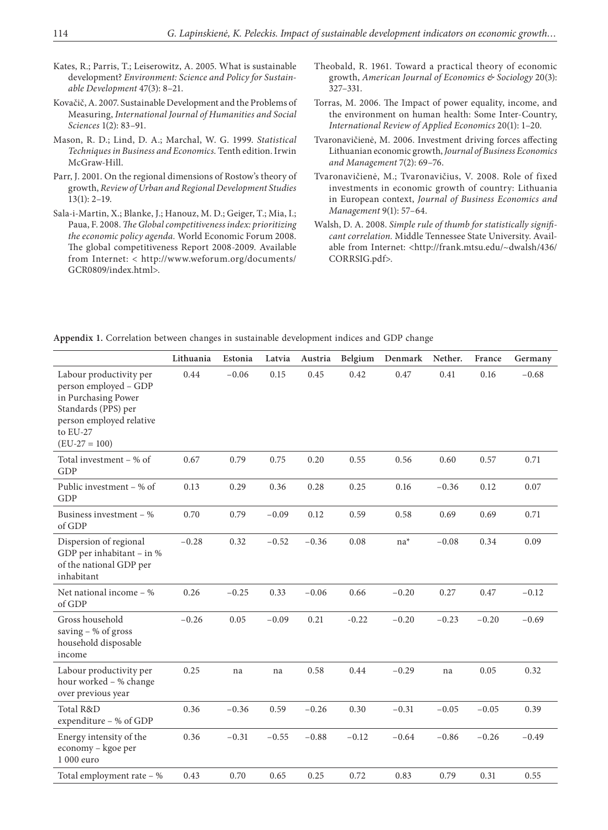- Kates, R.; Parris, T.; Leiserowitz, A. 2005. What is sustainable development? *Environment: Science and Policy for Sustainable Development* 47(3): 8–21.
- Kovačič, A. 2007. Sustainable Development and the Problems of Measuring, *International Journal of Humanities and Social Sciences* 1(2): 83–91.
- Mason, R. D.; Lind, D. A.; Marchal, W. G. 1999. *Statistical Techniques in Business and Economics.* Tenth edition. Irwin McGraw-Hill.
- Parr, J. 2001. On the regional dimensions of Rostow's theory of growth, *Review of Urban and Regional Development Studies* 13(1): 2–19.
- Sala-i-Martin, X.; Blanke, J.; Hanouz, M. D.; Geiger, T.; Mia, I.; Paua, F. 2008. *The Global competitiveness index: prioritizing the economic policy agenda.* World Economic Forum 2008. The global competitiveness Report 2008-2009. Available from Internet: < http://www.weforum.org/documents/ GCR0809/index.html>.
- Theobald, R. 1961. Toward a practical theory of economic growth, *American Journal of Economics & Sociology* 20(3): 327–331.
- Torras, M. 2006. The Impact of power equality, income, and the environment on human health: Some Inter-Country, *International Review of Applied Economics* 20(1): 1–20.
- Tvaronavičienė, M. 2006. Investment driving forces affecting Lithuanian economic growth, *Journal of Business Economics and Management* 7(2): 69–76.
- Tvaronavičienė, M.; Tvaronavičius, V. 2008. Role of fixed investments in economic growth of country: Lithuania in European context, *Journal of Business Economics and Management* 9(1): 57–64.
- Walsh, D. A. 2008. *Simple rule of thumb for statistically significant correlation.* Middle Tennessee State University. Available from Internet: <http://frank.mtsu.edu/~dwalsh/436/ CORRSIG.pdf>.

**Appendix 1.** Correlation between changes in sustainable development indices and GDP change

|                                                                                                                                                         | Lithuania | Estonia | Latvia  | Austria | Belgium | Denmark | Nether. | France  | Germany |
|---------------------------------------------------------------------------------------------------------------------------------------------------------|-----------|---------|---------|---------|---------|---------|---------|---------|---------|
| Labour productivity per<br>person employed - GDP<br>in Purchasing Power<br>Standards (PPS) per<br>person employed relative<br>to EU-27<br>$(EU-27=100)$ | 0.44      | $-0.06$ | 0.15    | 0.45    | 0.42    | 0.47    | 0.41    | 0.16    | $-0.68$ |
| Total investment – % of<br>GDP                                                                                                                          | 0.67      | 0.79    | 0.75    | 0.20    | 0.55    | 0.56    | 0.60    | 0.57    | 0.71    |
| Public investment – % of<br><b>GDP</b>                                                                                                                  | 0.13      | 0.29    | 0.36    | 0.28    | 0.25    | 0.16    | $-0.36$ | 0.12    | 0.07    |
| Business investment $-$ %<br>of GDP                                                                                                                     | 0.70      | 0.79    | $-0.09$ | 0.12    | 0.59    | 0.58    | 0.69    | 0.69    | 0.71    |
| Dispersion of regional<br>GDP per inhabitant $-$ in %<br>of the national GDP per<br>inhabitant                                                          | $-0.28$   | 0.32    | $-0.52$ | $-0.36$ | 0.08    | $na^*$  | $-0.08$ | 0.34    | 0.09    |
| Net national income $-$ %<br>of GDP                                                                                                                     | 0.26      | $-0.25$ | 0.33    | $-0.06$ | 0.66    | $-0.20$ | 0.27    | 0.47    | $-0.12$ |
| Gross household<br>saving - % of gross<br>household disposable<br>income                                                                                | $-0.26$   | 0.05    | $-0.09$ | 0.21    | $-0.22$ | $-0.20$ | $-0.23$ | $-0.20$ | $-0.69$ |
| Labour productivity per<br>hour worked - % change<br>over previous year                                                                                 | 0.25      | na      | na      | 0.58    | 0.44    | $-0.29$ | na      | 0.05    | 0.32    |
| Total R&D<br>expenditure - % of GDP                                                                                                                     | 0.36      | $-0.36$ | 0.59    | $-0.26$ | 0.30    | $-0.31$ | $-0.05$ | $-0.05$ | 0.39    |
| Energy intensity of the<br>economy - kgoe per<br>1 000 euro                                                                                             | 0.36      | $-0.31$ | $-0.55$ | $-0.88$ | $-0.12$ | $-0.64$ | $-0.86$ | $-0.26$ | $-0.49$ |
| Total employment rate $-$ %                                                                                                                             | 0.43      | 0.70    | 0.65    | 0.25    | 0.72    | 0.83    | 0.79    | 0.31    | 0.55    |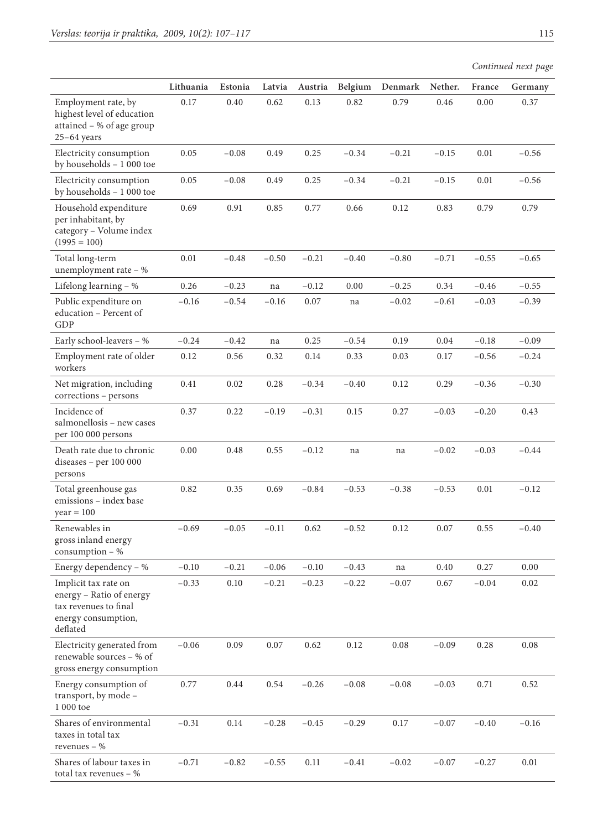total tax revenues – %

|                                                                                                              | Lithuania | Estonia  | Latvia   | Austria  | Belgium | Denmark  | Nether.  | France  | Germany  |
|--------------------------------------------------------------------------------------------------------------|-----------|----------|----------|----------|---------|----------|----------|---------|----------|
| Employment rate, by                                                                                          | 0.17      | 0.40     | 0.62     | 0.13     | 0.82    | 0.79     | 0.46     | 0.00    | 0.37     |
| highest level of education<br>attained - % of age group                                                      |           |          |          |          |         |          |          |         |          |
| $25-64$ years                                                                                                |           |          |          |          |         |          |          |         |          |
| Electricity consumption<br>by households - 1 000 toe                                                         | 0.05      | $-0.08$  | 0.49     | 0.25     | $-0.34$ | $-0.21$  | $-0.15$  | 0.01    | $-0.56$  |
| Electricity consumption<br>by households - 1 000 toe                                                         | 0.05      | $-0.08$  | 0.49     | 0.25     | $-0.34$ | $-0.21$  | $-0.15$  | 0.01    | $-0.56$  |
| Household expenditure<br>per inhabitant, by<br>category - Volume index<br>$(1995 = 100)$                     | 0.69      | 0.91     | 0.85     | 0.77     | 0.66    | 0.12     | 0.83     | 0.79    | 0.79     |
| Total long-term<br>unemployment rate - %                                                                     | 0.01      | $-0.48$  | $-0.50$  | $-0.21$  | $-0.40$ | $-0.80$  | $-0.71$  | $-0.55$ | $-0.65$  |
| Lifelong learning - %                                                                                        | 0.26      | $-0.23$  | na       | $-0.12$  | 0.00    | $-0.25$  | 0.34     | $-0.46$ | $-0.55$  |
| Public expenditure on<br>education - Percent of<br>GDP                                                       | $-0.16$   | $-0.54$  | $-0.16$  | 0.07     | na      | $-0.02$  | $-0.61$  | $-0.03$ | $-0.39$  |
| Early school-leavers - %                                                                                     | $-0.24$   | $-0.42$  | na       | 0.25     | $-0.54$ | 0.19     | 0.04     | $-0.18$ | $-0.09$  |
| Employment rate of older<br>workers                                                                          | 0.12      | 0.56     | 0.32     | 0.14     | 0.33    | 0.03     | 0.17     | $-0.56$ | $-0.24$  |
| Net migration, including<br>corrections - persons                                                            | 0.41      | 0.02     | 0.28     | $-0.34$  | $-0.40$ | 0.12     | 0.29     | $-0.36$ | $-0.30$  |
| Incidence of<br>salmonellosis - new cases<br>per 100 000 persons                                             | 0.37      | 0.22     | $-0.19$  | $-0.31$  | 0.15    | 0.27     | $-0.03$  | $-0.20$ | 0.43     |
| Death rate due to chronic<br>diseases - per 100 000<br>persons                                               | 0.00      | 0.48     | 0.55     | $-0.12$  | na      | na       | $-0.02$  | $-0.03$ | $-0.44$  |
| Total greenhouse gas<br>emissions - index base<br>$year = 100$                                               | 0.82      | 0.35     | 0.69     | $-0.84$  | $-0.53$ | $-0.38$  | $-0.53$  | 0.01    | $-0.12$  |
| Renewables in<br>gross inland energy<br>consumption $-$ %                                                    | $-0.69$   | $-0.05$  | $-0.11$  | 0.62     | $-0.52$ | 0.12     | 0.07     | 0.55    | $-0.40$  |
| Energy dependency - %                                                                                        | $-0.10$   | $-0.21$  | $-0.06$  | $-0.10$  | $-0.43$ | na       | 0.40     | 0.27    | $0.00\,$ |
| Implicit tax rate on<br>energy - Ratio of energy<br>tax revenues to final<br>energy consumption,<br>deflated | $-0.33$   | $0.10\,$ | $-0.21$  | $-0.23$  | $-0.22$ | $-0.07$  | $0.67\,$ | $-0.04$ | $0.02\,$ |
| Electricity generated from<br>renewable sources - % of<br>gross energy consumption                           | $-0.06$   | 0.09     | $0.07\,$ | 0.62     | 0.12    | $0.08\,$ | $-0.09$  | 0.28    | 0.08     |
| Energy consumption of<br>transport, by mode -<br>1 000 toe                                                   | 0.77      | 0.44     | 0.54     | $-0.26$  | $-0.08$ | $-0.08$  | $-0.03$  | 0.71    | 0.52     |
| Shares of environmental<br>taxes in total tax<br>revenues $-$ %                                              | $-0.31$   | 0.14     | $-0.28$  | $-0.45$  | $-0.29$ | 0.17     | $-0.07$  | $-0.40$ | $-0.16$  |
| Shares of labour taxes in                                                                                    | $-0.71$   | $-0.82$  | $-0.55$  | $0.11\,$ | $-0.41$ | $-0.02$  | $-0.07$  | $-0.27$ | $0.01\,$ |

*Continued next page*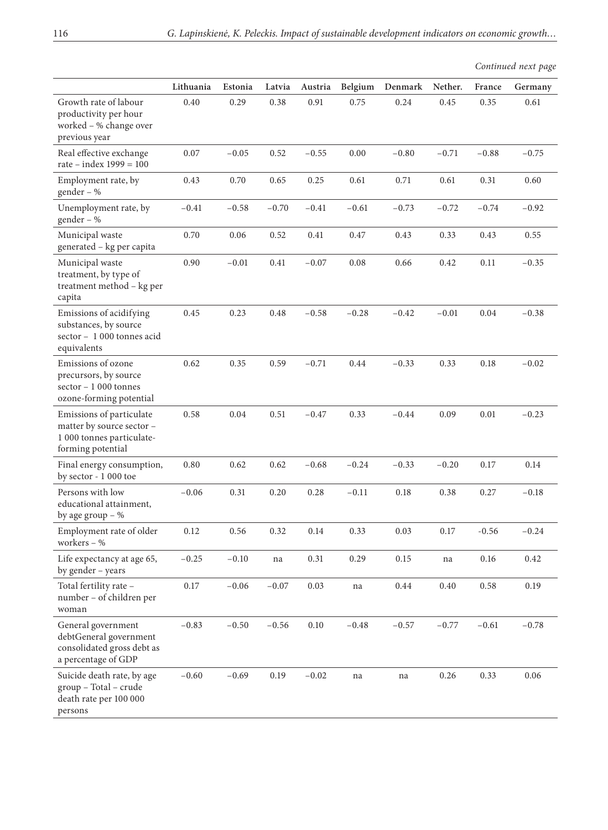|                                                                                                         |           |         |         |          |          |         |         |         | Continued next page |
|---------------------------------------------------------------------------------------------------------|-----------|---------|---------|----------|----------|---------|---------|---------|---------------------|
|                                                                                                         | Lithuania | Estonia | Latvia  | Austria  | Belgium  | Denmark | Nether. | France  | Germany             |
| Growth rate of labour<br>productivity per hour<br>worked - % change over<br>previous year               | 0.40      | 0.29    | 0.38    | 0.91     | 0.75     | 0.24    | 0.45    | 0.35    | 0.61                |
| Real effective exchange<br>rate – index $1999 = 100$                                                    | 0.07      | $-0.05$ | 0.52    | $-0.55$  | 0.00     | $-0.80$ | $-0.71$ | $-0.88$ | $-0.75$             |
| Employment rate, by<br>gender – %                                                                       | 0.43      | 0.70    | 0.65    | 0.25     | 0.61     | 0.71    | 0.61    | 0.31    | 0.60                |
| Unemployment rate, by<br>gender – %                                                                     | $-0.41$   | $-0.58$ | $-0.70$ | $-0.41$  | $-0.61$  | $-0.73$ | $-0.72$ | $-0.74$ | $-0.92$             |
| Municipal waste<br>generated - kg per capita                                                            | 0.70      | 0.06    | 0.52    | 0.41     | 0.47     | 0.43    | 0.33    | 0.43    | 0.55                |
| Municipal waste<br>treatment, by type of<br>treatment method - kg per<br>capita                         | 0.90      | $-0.01$ | 0.41    | $-0.07$  | $0.08\,$ | 0.66    | 0.42    | 0.11    | $-0.35$             |
| Emissions of acidifying<br>substances, by source<br>sector - 1 000 tonnes acid<br>equivalents           | 0.45      | 0.23    | 0.48    | $-0.58$  | $-0.28$  | $-0.42$ | $-0.01$ | 0.04    | $-0.38$             |
| Emissions of ozone<br>precursors, by source<br>sector $-1000$ tonnes<br>ozone-forming potential         | 0.62      | 0.35    | 0.59    | $-0.71$  | 0.44     | $-0.33$ | 0.33    | 0.18    | $-0.02$             |
| Emissions of particulate<br>matter by source sector -<br>1 000 tonnes particulate-<br>forming potential | 0.58      | 0.04    | 0.51    | $-0.47$  | 0.33     | $-0.44$ | 0.09    | 0.01    | $-0.23$             |
| Final energy consumption,<br>by sector - 1 000 toe                                                      | 0.80      | 0.62    | 0.62    | $-0.68$  | $-0.24$  | $-0.33$ | $-0.20$ | 0.17    | 0.14                |
| Persons with low<br>educational attainment,<br>by age group $-$ %                                       | $-0.06$   | 0.31    | 0.20    | 0.28     | $-0.11$  | 0.18    | 0.38    | 0.27    | $-0.18$             |
| Employment rate of older<br>workers $-$ %                                                               | 0.12      | 0.56    | 0.32    | 0.14     | 0.33     | 0.03    | 0.17    | $-0.56$ | $-0.24$             |
| Life expectancy at age 65,<br>by gender - years                                                         | $-0.25$   | $-0.10$ | na      | 0.31     | 0.29     | 0.15    | na      | 0.16    | 0.42                |
| Total fertility rate -<br>number - of children per<br>woman                                             | 0.17      | $-0.06$ | $-0.07$ | 0.03     | na       | 0.44    | 0.40    | 0.58    | 0.19                |
| General government<br>debtGeneral government<br>consolidated gross debt as<br>a percentage of GDP       | $-0.83$   | $-0.50$ | $-0.56$ | $0.10\,$ | $-0.48$  | $-0.57$ | $-0.77$ | $-0.61$ | $-0.78$             |
| Suicide death rate, by age<br>group - Total - crude<br>death rate per 100 000<br>persons                | $-0.60$   | $-0.69$ | 0.19    | $-0.02$  | na       | na      | 0.26    | 0.33    | 0.06                |